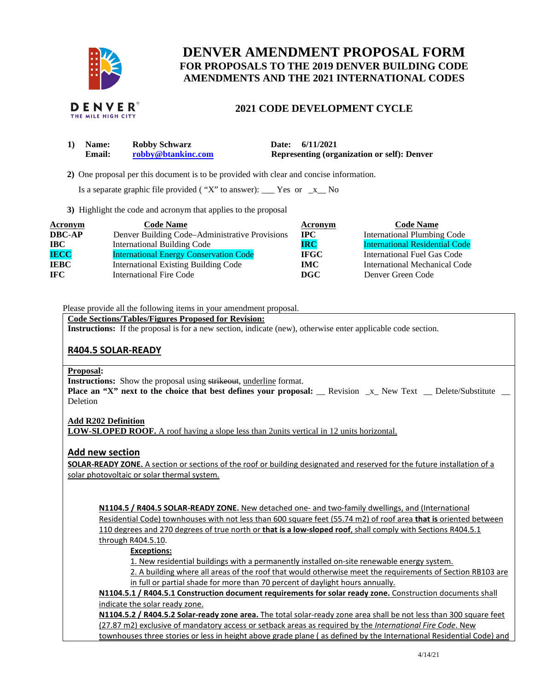

# **DENVER AMENDMENT PROPOSAL FORM FOR PROPOSALS TO THE 2019 DENVER BUILDING CODE AMENDMENTS AND THE 2021 INTERNATIONAL CODES**

# **2021 CODE DEVELOPMENT CYCLE**

| <b>Name:</b>  | <b>Robby Schwarz</b> | Date: 6/11/2021                                    |  |
|---------------|----------------------|----------------------------------------------------|--|
| <b>Email:</b> | robby@btankinc.com   | <b>Representing (organization or self): Denver</b> |  |

 **2)** One proposal per this document is to be provided with clear and concise information.

Is a separate graphic file provided ("X" to answer):  $\frac{\ }{2}$  Yes or  $\frac{\ }{2}$  No

**3)** Highlight the code and acronym that applies to the proposal

| <b>Acronym</b> | <b>Code Name</b>                               | Acronym     | <b>Code Name</b>                      |
|----------------|------------------------------------------------|-------------|---------------------------------------|
| <b>DBC-AP</b>  | Denver Building Code-Administrative Provisions | $\bf{IPC}$  | <b>International Plumbing Code</b>    |
| $\bf IBC$      | <b>International Building Code</b>             | <b>IRC</b>  | <b>International Residential Code</b> |
| <b>IECC</b>    | <b>International Energy Conservation Code</b>  | <b>IFGC</b> | International Fuel Gas Code           |
| <b>IEBC</b>    | <b>International Existing Building Code</b>    | IMC .       | International Mechanical Code         |
| IFC .          | <b>International Fire Code</b>                 | DGC         | Denver Green Code                     |

Please provide all the following items in your amendment proposal.

**Code Sections/Tables/Figures Proposed for Revision:** 

**Instructions:** If the proposal is for a new section, indicate (new), otherwise enter applicable code section.

# **R404.5 SOLAR-READY**

#### **Proposal:**

**Instructions:** Show the proposal using strikeout, underline format. **Place an "X" next to the choice that best defines your proposal:** Revision x New Text Delete/Substitute **Deletion** 

## **Add R202 Definition**

**LOW-SLOPED ROOF.** A roof having a slope less than 2units vertical in 12 units horizontal.

# **Add new section**

**SOLAR-READY ZONE.** A section or sections of the roof or building designated and reserved for the future installation of a solar photovoltaic or solar thermal system.

**N1104.5 / R404.5 SOLAR-READY ZONE.** New detached one- and two-family dwellings, and (International Residential Code) townhouses with not less than 600 square feet (55.74 m2) of roof area **that is** oriented between 110 degrees and 270 degrees of true north or **that is a low-sloped roof**, shall comply with Sections R404.5.1 through R404.5.10.

## **Exceptions:**

1. New residential buildings with a permanently installed on-site renewable energy system.

2. A building where all areas of the roof that would otherwise meet the requirements of Section RB103 are in full or partial shade for more than 70 percent of daylight hours annually.

**N1104.5.1 / R404.5.1 Construction document requirements for solar ready zone.** Construction documents shall indicate the solar ready zone.

**N1104.5.2 / R404.5.2 Solar-ready zone area.** The total solar-ready zone area shall be not less than 300 square feet (27.87 m2) exclusive of mandatory access or setback areas as required by the *International Fire Code*. New townhouses three stories or less in height above grade plane ( as defined by the International Residential Code) and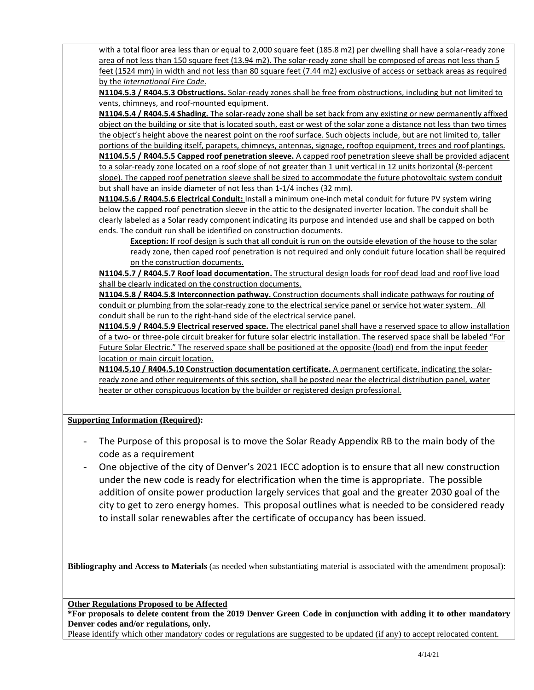with a total floor area less than or equal to 2,000 square feet (185.8 m2) per dwelling shall have a solar-ready zone area of not less than 150 square feet (13.94 m2). The solar-ready zone shall be composed of areas not less than 5 feet (1524 mm) in width and not less than 80 square feet (7.44 m2) exclusive of access or setback areas as required by the *International Fire Code*.

**N1104.5.3 / R404.5.3 Obstructions.** Solar-ready zones shall be free from obstructions, including but not limited to vents, chimneys, and roof-mounted equipment.

**N1104.5.4 / R404.5.4 Shading.** The solar-ready zone shall be set back from any existing or new permanently affixed object on the building or site that is located south, east or west of the solar zone a distance not less than two times the object's height above the nearest point on the roof surface. Such objects include, but are not limited to, taller portions of the building itself, parapets, chimneys, antennas, signage, rooftop equipment, trees and roof plantings. **N1104.5.5 / R404.5.5 Capped roof penetration sleeve.** A capped roof penetration sleeve shall be provided adjacent to a solar-ready zone located on a roof slope of not greater than 1 unit vertical in 12 units horizontal (8-percent slope). The capped roof penetration sleeve shall be sized to accommodate the future photovoltaic system conduit but shall have an inside diameter of not less than 1**-**1/4 inches (32 mm).

**N1104.5.6 / R404.5.6 Electrical Conduit:** Install a minimum one-inch metal conduit for future PV system wiring below the capped roof penetration sleeve in the attic to the designated inverter location. The conduit shall be clearly labeled as a Solar ready component indicating its purpose and intended use and shall be capped on both ends. The conduit run shall be identified on construction documents.

**Exception:** If roof design is such that all conduit is run on the outside elevation of the house to the solar ready zone, then caped roof penetration is not required and only conduit future location shall be required on the construction documents.

**N1104.5.7 / R404.5.7 Roof load documentation.** The structural design loads for roof dead load and roof live load shall be clearly indicated on the construction documents.

**N1104.5.8 / R404.5.8 Interconnection pathway.** Construction documents shall indicate pathways for routing of conduit or plumbing from the solar-ready zone to the electrical service panel or service hot water system. All conduit shall be run to the right-hand side of the electrical service panel.

**N1104.5.9 / R404.5.9 Electrical reserved space.** The electrical panel shall have a reserved space to allow installation of a two- or three-pole circuit breaker for future solar electric installation. The reserved space shall be labeled "For Future Solar Electric." The reserved space shall be positioned at the opposite (load) end from the input feeder location or main circuit location.

**N1104.5.10 / R404.5.10 Construction documentation certificate.** A permanent certificate, indicating the solarready zone and other requirements of this section, shall be posted near the electrical distribution panel, water heater or other conspicuous location by the builder or registered design professional.

**Supporting Information (Required):** 

- The Purpose of this proposal is to move the Solar Ready Appendix RB to the main body of the code as a requirement
- One objective of the city of Denver's 2021 IECC adoption is to ensure that all new construction under the new code is ready for electrification when the time is appropriate. The possible addition of onsite power production largely services that goal and the greater 2030 goal of the city to get to zero energy homes. This proposal outlines what is needed to be considered ready to install solar renewables after the certificate of occupancy has been issued.

**Bibliography and Access to Materials** (as needed when substantiating material is associated with the amendment proposal):

**Other Regulations Proposed to be Affected** 

**\*For proposals to delete content from the 2019 Denver Green Code in conjunction with adding it to other mandatory Denver codes and/or regulations, only.**

Please identify which other mandatory codes or regulations are suggested to be updated (if any) to accept relocated content.